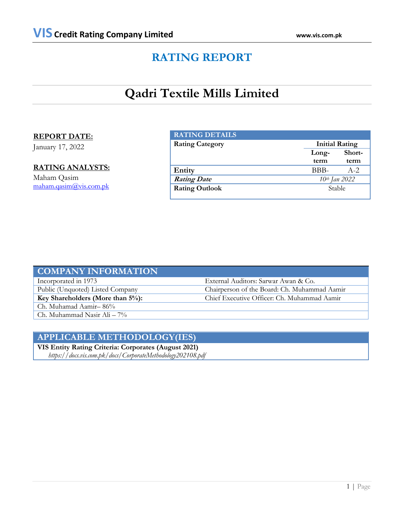## **RATING REPORT**

# **Qadri Textile Mills Limited**

## **REPORT DATE:**

January 17, 2022

## **RATING ANALYSTS:**

Maham Qasim [maham.qasim@vis.com.pk](mailto:maham.qasim@vis.com.pk)

| <b>RATING DETAILS</b>  |       |                       |  |
|------------------------|-------|-----------------------|--|
| <b>Rating Category</b> |       | <b>Initial Rating</b> |  |
|                        | Long- | Short-                |  |
|                        | term  | term                  |  |
| Entity                 | BBB-  | $A - 2.$              |  |
| <b>Rating Date</b>     |       | 10th Jan 2022         |  |
| <b>Rating Outlook</b>  |       | Stable                |  |
|                        |       |                       |  |

| <b>COMPANY INFORMATION</b>       |                                              |
|----------------------------------|----------------------------------------------|
| Incorporated in 1973             | External Auditors: Sarwar Awan & Co.         |
| Public (Unquoted) Listed Company | Chairperson of the Board: Ch. Muhammad Aamir |
| Key Shareholders (More than 5%): | Chief Executive Officer: Ch. Muhammad Aamir  |
| Ch. Muhamad Aamir-86%            |                                              |
| Ch. Muhammad Nasir Ali $-7\%$    |                                              |

## **APPLICABLE METHODOLOGY(IES)**

**VIS Entity Rating Criteria: Corporates (August 2021)**  *https://docs.vis.com.pk/docs/CorporateMethodology202108.pdf*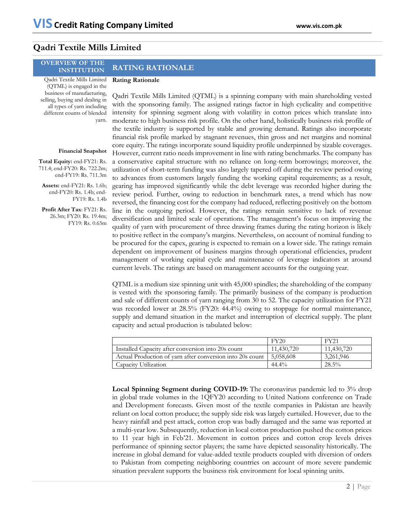## **Qadri Textile Mills Limited**

#### **OVERVIEW OF THE INSTITUTION RATING RATIONALE**

### **Rating Rationale**

Qadri Textile Mills Limited (QTML) is engaged in the business of manufacturing, selling, buying and dealing in all types of yarn including different counts of blended yarn.

### **Financial Snapshot**

**Total Equity:** end-FY21: Rs. 711.4; end-FY20: Rs. 722.2m; end-FY19: Rs. 711.3m

**Assets:** end-FY21: Rs. 1.6b; end-FY20: Rs. 1.4b; end-FY19: Rs. 1.4b

**Profit After Tax**: FY21: Rs. 26.3m; FY20: Rs. 19.4m; FY19: Rs. 0.65m

Qadri Textile Mills Limited (QTML) is a spinning company with main shareholding vested with the sponsoring family. The assigned ratings factor in high cyclicality and competitive intensity for spinning segment along with volatility in cotton prices which translate into moderate to high business risk profile. On the other hand, holistically business risk profile of the textile industry is supported by stable and growing demand. Ratings also incorporate financial risk profile marked by stagnant revenues, thin gross and net margins and nominal core equity. The ratings incorporate sound liquidity profile underpinned by sizable coverages. However, current ratio needs improvement in line with rating benchmarks. The company has a conservative capital structure with no reliance on long-term borrowings; moreover, the utilization of short-term funding was also largely tapered off during the review period owing to advances from customers largely funding the working capital requirements; as a result, gearing has improved significantly while the debt leverage was recorded higher during the review period. Further, owing to reduction in benchmark rates, a trend which has now reversed, the financing cost for the company had reduced, reflecting positively on the bottom line in the outgoing period. However, the ratings remain sensitive to lack of revenue diversification and limited scale of operations. The management's focus on improving the quality of yarn with procurement of three drawing frames during the rating horizon is likely to positive reflect in the company's margins. Nevertheless, on account of nominal funding to be procured for the capex, gearing is expected to remain on a lower side. The ratings remain dependent on improvement of business margins through operational efficiencies, prudent management of working capital cycle and maintenance of leverage indicators at around current levels. The ratings are based on management accounts for the outgoing year.

QTML is a medium size spinning unit with 45,000 spindles; the shareholding of the company is vested with the sponsoring family. The primarily business of the company is production and sale of different counts of yarn ranging from 30 to 52. The capacity utilization for FY21 was recorded lower at 28.5% (FY20: 44.4%) owing to stoppage for normal maintenance, supply and demand situation in the market and interruption of electrical supply. The plant capacity and actual production is tabulated below:

|                                                           | FY20       | <b>FY21</b> |
|-----------------------------------------------------------|------------|-------------|
| Installed Capacity after conversion into 20s count        | 11,430,720 | 11,430,720  |
| Actual Production of varn after conversion into 20s count | 5,058,608  | 3,261,946   |
| Capacity Utilization                                      | $44.4\%$   | 28.5%       |

**Local Spinning Segment during COVID-19:** The coronavirus pandemic led to 3% drop in global trade volumes in the 1QFY20 according to United Nations conference on Trade and Development forecasts. Given most of the textile companies in Pakistan are heavily reliant on local cotton produce; the supply side risk was largely curtailed. However, due to the heavy rainfall and pest attack, cotton crop was badly damaged and the same was reported at a multi-year low. Subsequently, reduction in local cotton production pushed the cotton prices to 11 year high in Feb'21. Movement in cotton prices and cotton crop levels drives performance of spinning sector players; the same have depicted seasonality historically. The increase in global demand for value-added textile products coupled with diversion of orders to Pakistan from competing neighboring countries on account of more severe pandemic situation prevalent supports the business risk environment for local spinning units.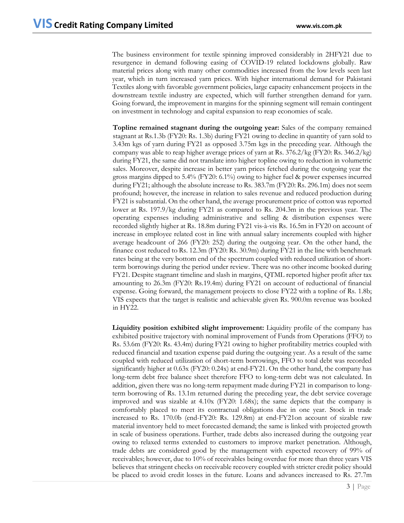The business environment for textile spinning improved considerably in 2HFY21 due to resurgence in demand following easing of COVID-19 related lockdowns globally. Raw material prices along with many other commodities increased from the low levels seen last year, which in turn increased yarn prices. With higher international demand for Pakistani Textiles along with favorable government policies, large capacity enhancement projects in the downstream textile industry are expected, which will further strengthen demand for yarn. Going forward, the improvement in margins for the spinning segment will remain contingent on investment in technology and capital expansion to reap economies of scale.

**Topline remained stagnant during the outgoing year:** Sales of the company remained stagnant at Rs.1.3b (FY20: Rs. 1.3b) during FY21 owing to decline in quantity of yarn sold to 3.43m kgs of yarn during FY21 as opposed 3.75m kgs in the preceding year. Although the company was able to reap higher average prices of yarn at Rs. 376.2/kg (FY20: Rs. 346.2/kg) during FY21, the same did not translate into higher topline owing to reduction in volumetric sales. Moreover, despite increase in better yarn prices fetched during the outgoing year the gross margins dipped to 5.4% (FY20: 6.1%) owing to higher fuel & power expenses incurred during FY21; although the absolute increase to Rs. 383.7m (FY20: Rs. 296.1m) does not seem profound; however, the increase in relation to sales revenue and reduced production during FY21 is substantial. On the other hand, the average procurement price of cotton was reported lower at Rs. 197.9/kg during FY21 as compared to Rs. 204.3m in the previous year. The operating expenses including administrative and selling & distribution expenses were recorded slightly higher at Rs. 18.8m during FY21 vis-à-vis Rs. 16.5m in FY20 on account of increase in employee related cost in line with annual salary increments coupled with higher average headcount of 266 (FY20: 252) during the outgoing year. On the other hand, the finance cost reduced to Rs. 12.3m (FY20: Rs. 30.9m) during FY21 in the line with benchmark rates being at the very bottom end of the spectrum coupled with reduced utilization of shortterm borrowings during the period under review. There was no other income booked during FY21. Despite stagnant timeline and slash in margins, QTML reported higher profit after tax amounting to 26.3m (FY20: Rs.19.4m) during FY21 on account of reductional of financial expense. Going forward, the management projects to close FY22 with a topline of Rs. 1.8b; VIS expects that the target is realistic and achievable given Rs. 900.0m revenue was booked in HY22.

**Liquidity position exhibited slight improvement:** Liquidity profile of the company has exhibited positive trajectory with nominal improvement of Funds from Operations (FFO) to Rs. 53.6m (FY20: Rs. 43.4m) during FY21 owing to higher profitability metrics coupled with reduced financial and taxation expense paid during the outgoing year. As a result of the same coupled with reduced utilization of short-term borrowings, FFO to total debt was recorded significantly higher at 0.63x (FY20: 0.24x) at end-FY21. On the other hand, the company has long-term debt free balance sheet therefore FFO to long-term debt was not calculated. In addition, given there was no long-term repayment made during FY21 in comparison to longterm borrowing of Rs. 13.1m returned during the preceding year, the debt service coverage improved and was sizable at 4.10x (FY20: 1.68x); the same depicts that the company is comfortably placed to meet its contractual obligations due in one year. Stock in trade increased to Rs. 170.0b (end-FY20: Rs. 129.8m) at end-FY21on account of sizable raw material inventory held to meet forecasted demand; the same is linked with projected growth in scale of business operations. Further, trade debts also increased during the outgoing year owing to relaxed terms extended to customers to improve market penetration. Although, trade debts are considered good by the management with expected recovery of 99% of receivables; however, due to 10% of receivables being overdue for more than three years VIS believes that stringent checks on receivable recovery coupled with stricter credit policy should be placed to avoid credit losses in the future. Loans and advances increased to Rs. 27.7m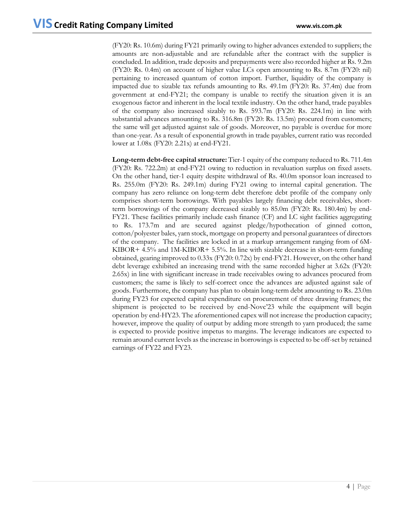(FY20: Rs. 10.6m) during FY21 primarily owing to higher advances extended to suppliers; the amounts are non-adjustable and are refundable after the contract with the supplier is concluded. In addition, trade deposits and prepayments were also recorded higher at Rs. 9.2m (FY20: Rs. 0.4m) on account of higher value LCs open amounting to Rs. 8.7m (FY20: nil) pertaining to increased quantum of cotton import. Further, liquidity of the company is impacted due to sizable tax refunds amounting to Rs. 49.1m (FY20: Rs. 37.4m) due from government at end-FY21; the company is unable to rectify the situation given it is an exogenous factor and inherent in the local textile industry. On the other hand, trade payables of the company also increased sizably to Rs. 593.7m (FY20: Rs. 224.1m) in line with substantial advances amounting to Rs. 316.8m (FY20: Rs. 13.5m) procured from customers; the same will get adjusted against sale of goods. Moreover, no payable is overdue for more than one-year. As a result of exponential growth in trade payables, current ratio was recorded lower at 1.08x (FY20: 2.21x) at end-FY21.

**Long-term debt-free capital structure:** Tier-1 equity of the company reduced to Rs. 711.4m (FY20: Rs. 722.2m) at end-FY21 owing to reduction in revaluation surplus on fixed assets. On the other hand, tier-1 equity despite withdrawal of Rs. 40.0m sponsor loan increased to Rs. 255.0m (FY20: Rs. 249.1m) during FY21 owing to internal capital generation. The company has zero reliance on long-term debt therefore debt profile of the company only comprises short-term borrowings. With payables largely financing debt receivables, shortterm borrowings of the company decreased sizably to 85.0m (FY20: Rs. 180.4m) by end-FY21. These facilities primarily include cash finance (CF) and LC sight facilities aggregating to Rs. 173.7m and are secured against pledge/hypothecation of ginned cotton, cotton/polyester bales, yarn stock, mortgage on property and personal guarantees of directors of the company. The facilities are locked in at a markup arrangement ranging from of 6M-KIBOR+ 4.5% and 1M-KIBOR+ 5.5%. In line with sizable decrease in short-term funding obtained, gearing improved to 0.33x (FY20: 0.72x) by end-FY21. However, on the other hand debt leverage exhibited an increasing trend with the same recorded higher at 3.62x (FY20: 2.65x) in line with significant increase in trade receivables owing to advances procured from customers; the same is likely to self-correct once the advances are adjusted against sale of goods. Furthermore, the company has plan to obtain long-term debt amounting to Rs. 23.0m during FY23 for expected capital expenditure on procurement of three drawing frames; the shipment is projected to be received by end-Novc'23 while the equipment will begin operation by end-HY23. The aforementioned capex will not increase the production capacity; however, improve the quality of output by adding more strength to yarn produced; the same is expected to provide positive impetus to margins. The leverage indicators are expected to remain around current levels as the increase in borrowings is expected to be off-set by retained earnings of FY22 and FY23.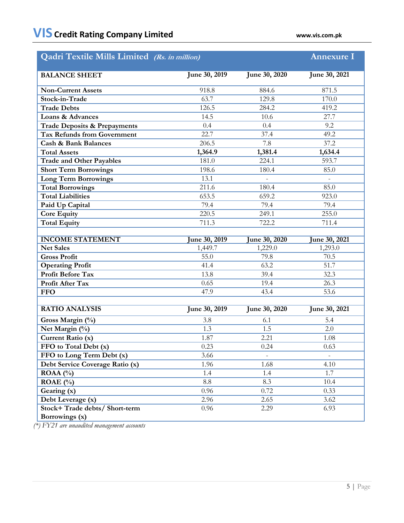| <b>Qadri Textile Mills Limited</b> (Rs. in million) |                           |                      | <b>Annexure I</b> |
|-----------------------------------------------------|---------------------------|----------------------|-------------------|
| <b>BALANCE SHEET</b>                                | June 30, 2019             | <b>June 30, 2020</b> |                   |
| <b>Non-Current Assets</b>                           | 884.6<br>918.8            |                      | 871.5             |
| Stock-in-Trade                                      | 63.7                      | 129.8                |                   |
| <b>Trade Debts</b>                                  | 126.5                     | 284.2                | 419.2             |
| Loans & Advances                                    | 14.5                      | 10.6                 | 27.7              |
| <b>Trade Deposits &amp; Prepayments</b>             | 0.4<br>0.4                |                      | 9.2               |
| <b>Tax Refunds from Government</b>                  | 22.7<br>37.4              |                      | 49.2              |
| <b>Cash &amp; Bank Balances</b>                     | 206.5<br>7.8              |                      | 37.2              |
| <b>Total Assets</b>                                 | 1,364.9                   | 1,634.4              |                   |
| <b>Trade and Other Payables</b>                     | 1,381.4<br>181.0<br>224.1 |                      | 593.7             |
| <b>Short Term Borrowings</b>                        | 198.6                     | 180.4                | 85.0              |
| <b>Long Term Borrowings</b>                         | 13.1                      |                      |                   |
| <b>Total Borrowings</b>                             | 211.6                     | 180.4                | 85.0              |
| <b>Total Liabilities</b>                            | 653.5                     | 659.2                | 923.0             |
| Paid Up Capital                                     | 79.4<br>79.4              |                      | 79.4              |
| <b>Core Equity</b>                                  | 220.5<br>249.1            |                      | 255.0             |
| <b>Total Equity</b>                                 | 711.3<br>722.2            |                      | 711.4             |
|                                                     |                           |                      |                   |
|                                                     |                           |                      |                   |
| <b>INCOME STATEMENT</b>                             | une 30, 2019              | une 30, 2020         | une 30, 2021      |
| <b>Net Sales</b>                                    | 1,449.7                   | 1,229.0              | 1,293.0           |
| <b>Gross Profit</b>                                 | 55.0                      | 79.8                 | 70.5              |
| <b>Operating Profit</b>                             | 41.4                      | 63.2                 | 51.7              |
| <b>Profit Before Tax</b>                            | 13.8                      | 39.4                 | 32.3              |
| Profit After Tax                                    | 0.65                      | 19.4                 | 26.3              |
| <b>FFO</b>                                          | 47.9                      | 43.4                 | 53.6              |
| <b>RATIO ANALYSIS</b>                               | June 30, 2019             | June 30, 2020        | June 30, 2021     |
| Gross Margin (%)                                    | 3.8                       | 6.1                  | 5.4               |
| Net Margin (%)                                      | 1.3                       | 1.5                  | 2.0               |
| Current Ratio (x)                                   | 1.87                      | 2.21                 | 1.08              |
| FFO to Total Debt (x)                               | 0.23                      | 0.24                 | 0.63              |
| FFO to Long Term Debt (x)                           | 3.66                      |                      |                   |
| Debt Service Coverage Ratio (x)                     | 1.96                      | 1.68                 | 4.10              |
| ROAA $(%)$                                          | 1.4                       | 1.4                  | 1.7               |
| ROAE $(\% )$                                        | $\!\!\!\!\!8.8$           | 8.3                  | 10.4              |
| Gearing (x)                                         | 0.96                      | 0.72                 | 0.33              |
| Debt Leverage (x)                                   | 2.96                      | 2.65                 | 3.62              |
| Stock+ Trade debts/ Short-term<br>Borrowings (x)    | 0.96                      | 2.29                 | 6.93              |

*(\*) FY21 are unaudited management accounts*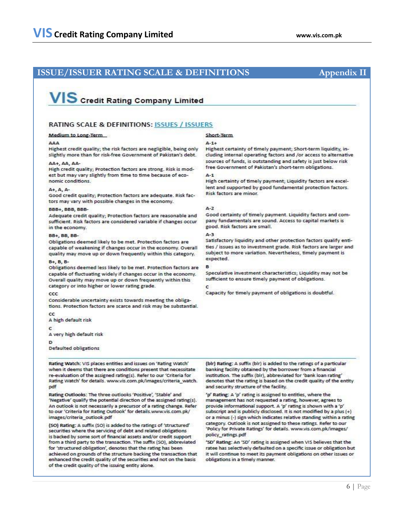## **ISSUE/ISSUER RATING SCALE & DEFINITIONS Appendix II**

# VIS Credit Rating Company Limited

### RATING SCALE & DEFINITIONS: ISSUES / ISSUERS

#### **Medium to Long-Term**

Highest credit quality; the risk factors are negligible, being only slightly more than for risk-free Government of Pakistan's debt.

#### AA+, AA, AA-

High credit quality; Protection factors are strong. Risk is modest but may vary slightly from time to time because of economic conditions.

#### $A + A$ .  $A -$

Good credit quality; Protection factors are adequate. Risk factors may vary with possible changes in the economy.

#### BBB+ BBB BBB-

Adequate credit quality; Protection factors are reasonable and sufficient. Risk factors are considered variable if changes occur in the economy.

#### **BB+ BB BB-**

Obligations deemed likely to be met. Protection factors are capable of weakening if changes occur in the economy. Overall quality may move up or down frequently within this category.

#### B+ B B-

Obligations deemed less likely to be met. Protection factors are capable of fluctuating widely if changes occur in the economy. Overall quality may move up or down frequently within this category or into higher or lower rating grade.

#### ccc

Considerable uncertainty exists towards meeting the obligations. Protection factors are scarce and risk may be substantial.

 $_{cc}$ 

A high default risk

C

A very high default risk

Đ

Defaulted obligations

Rating Watch: VIS places entities and issues on 'Rating Watch' when it deems that there are conditions present that necessitate re-evaluation of the assigned rating(s). Refer to our 'Criteria for Rating Watch' for details. www.vis.com.pk/images/criteria\_watch. pdf

Rating Outlooks: The three outlooks 'Positive', 'Stable' and 'Negative' qualify the potential direction of the assigned rating(s). An outlook is not necessarily a precursor of a rating change. Refer to our 'Criteria for Rating Outlook' for details.www.vis.com.pk/ images/criteria outlook.pdf

(SO) Rating: A suffix (SO) is added to the ratings of 'structured' securities where the servicing of debt and related obligations is backed by some sort of financial assets and/or credit support from a third party to the transaction. The suffix (SO), abbreviated for 'structured obligation', denotes that the rating has been achieved on grounds of the structure backing the transaction that enhanced the credit quality of the securities and not on the basis of the credit quality of the issuing entity alone.

#### Short-Term

#### $A - 1 +$

Highest certainty of timely payment; Short-term liquidity, including internal operating factors and /or access to alternative sources of funds, is outstanding and safety is just below risk free Government of Pakistan's short-term obligations.

#### $4 - 1$

High certainty of timely payment; Liquidity factors are excellent and supported by good fundamental protection factors. Risk factors are minor.

#### $A - 2$

Good certainty of timely payment. Liquidity factors and company fundamentals are sound. Access to capital markets is good. Risk factors are small.

#### $4 - 3$

Satisfactory liquidity and other protection factors qualify entities / issues as to investment grade. Risk factors are larger and subject to more variation. Nevertheless, timely payment is expected.

Speculative investment characteristics; Liquidity may not be sufficient to ensure timely payment of obligations.

#### ċ

Capacity for timely payment of obligations is doubtful.

(blr) Rating: A suffix (blr) is added to the ratings of a particular banking facility obtained by the borrower from a financial institution. The suffix (bir), abbreviated for 'bank loan rating' denotes that the rating is based on the credit quality of the entity and security structure of the facility.

'p' Rating: A 'p' rating is assigned to entities, where the management has not requested a rating, however, agrees to provide informational support. A 'p' rating is shown with a 'p' subscript and is publicly disclosed. It is not modified by a plus (+) or a minus (-) sign which indicates relative standing within a rating category. Outlook is not assigned to these ratings. Refer to our 'Policy for Private Ratings' for details. www.vis.com.pk/images/ policy ratings pdf

'SD' Rating: An 'SD' rating is assigned when VIS believes that the ratee has selectively defaulted on a specific issue or obligation but it will continue to meet its payment obligations on other issues or obligations in a timely manner.